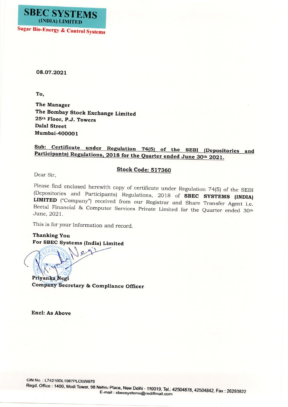

08.07.2021

To,

The Manager The Bombay Stock Exchange Limited 25<sup>th</sup> Floor, P.J. Towers **Dalal Street** Mumbai-400001

## Sub: Certificate under Regulation 74(5) of the SEBI (Depositories and Participants) Regulations, 2018 for the Quarter ended June 30th 2021.

## **Stock Code: 517360**

Dear Sir,

Please find enclosed herewith copy of certificate under Regulation 74(5) of the SEBI (Depositories and Participants) Regulations, 2018 of SBEC SYSTEMS (INDIA) LIMITED ("Company") received from our Registrar and Share Transfer Agent i.e. Beetal Financial & Computer Services Private Limited for the Quarter ended 30th June, 2021.

This is for your Information and record.

**Thanking You** For SBEC Systems (India) Limited

Priyanka Negi Company Secretary & Compliance Officer

**Encl: As Above** 

CIN No.: L74210DL1987PLC029979

Regd. Office: 1400, Modi Tower, 98 Nehru Place, New Delhi - 110019, Tel.: 42504878, 42504842, Fax: 26293822 E-mail: sbecsystems@rediffmail.com